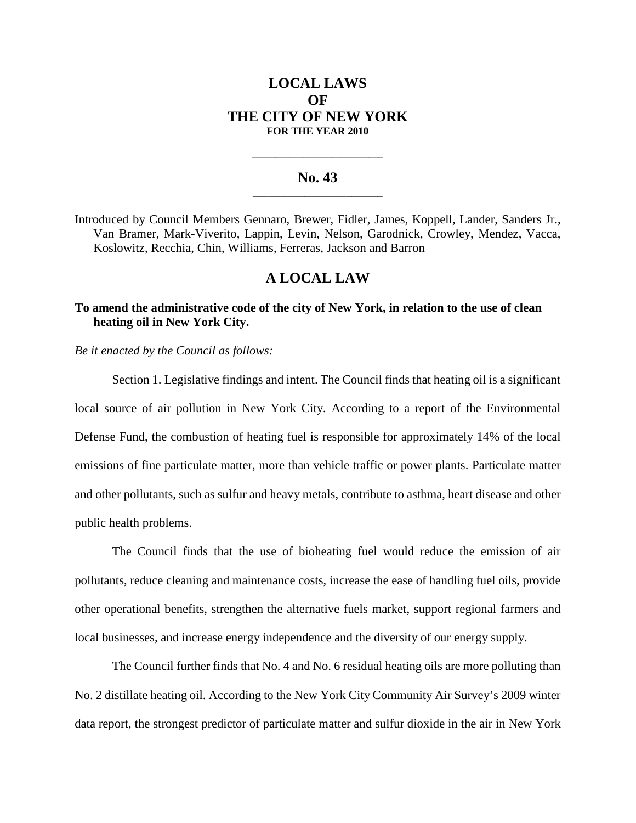## **LOCAL LAWS OF THE CITY OF NEW YORK FOR THE YEAR 2010**

### **No. 43 \_\_\_\_\_\_\_\_\_\_\_\_\_\_\_\_\_\_\_\_\_\_\_\_\_**

**\_\_\_\_\_\_\_\_\_\_\_\_\_\_\_\_\_\_\_\_\_\_\_\_\_\_\_\_**

Introduced by Council Members Gennaro, Brewer, Fidler, James, Koppell, Lander, Sanders Jr., Van Bramer, Mark-Viverito, Lappin, Levin, Nelson, Garodnick, Crowley, Mendez, Vacca, Koslowitz, Recchia, Chin, Williams, Ferreras, Jackson and Barron

## **A LOCAL LAW**

## **To amend the administrative code of the city of New York, in relation to the use of clean heating oil in New York City.**

*Be it enacted by the Council as follows:*

Section 1. Legislative findings and intent. The Council finds that heating oil is a significant local source of air pollution in New York City. According to a report of the Environmental Defense Fund, the combustion of heating fuel is responsible for approximately 14% of the local emissions of fine particulate matter, more than vehicle traffic or power plants. Particulate matter and other pollutants, such as sulfur and heavy metals, contribute to asthma, heart disease and other public health problems.

The Council finds that the use of bioheating fuel would reduce the emission of air pollutants, reduce cleaning and maintenance costs, increase the ease of handling fuel oils, provide other operational benefits, strengthen the alternative fuels market, support regional farmers and local businesses, and increase energy independence and the diversity of our energy supply.

The Council further finds that No. 4 and No. 6 residual heating oils are more polluting than No. 2 distillate heating oil. According to the New York City Community Air Survey's 2009 winter data report, the strongest predictor of particulate matter and sulfur dioxide in the air in New York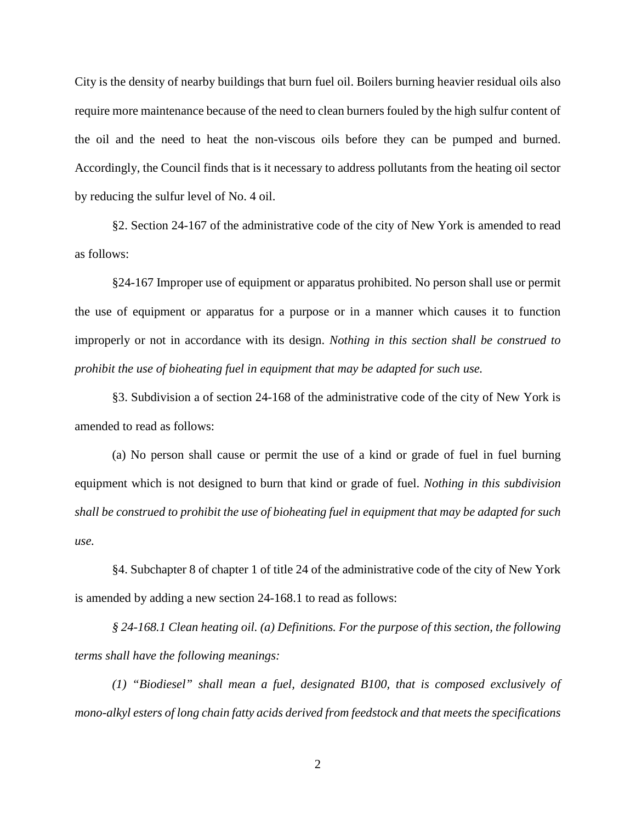City is the density of nearby buildings that burn fuel oil. Boilers burning heavier residual oils also require more maintenance because of the need to clean burners fouled by the high sulfur content of the oil and the need to heat the non-viscous oils before they can be pumped and burned. Accordingly, the Council finds that is it necessary to address pollutants from the heating oil sector by reducing the sulfur level of No. 4 oil.

§2. Section 24-167 of the administrative code of the city of New York is amended to read as follows:

§24-167 Improper use of equipment or apparatus prohibited. No person shall use or permit the use of equipment or apparatus for a purpose or in a manner which causes it to function improperly or not in accordance with its design. *Nothing in this section shall be construed to prohibit the use of bioheating fuel in equipment that may be adapted for such use.*

§3. Subdivision a of section 24-168 of the administrative code of the city of New York is amended to read as follows:

(a) No person shall cause or permit the use of a kind or grade of fuel in fuel burning equipment which is not designed to burn that kind or grade of fuel. *Nothing in this subdivision shall be construed to prohibit the use of bioheating fuel in equipment that may be adapted for such use.*

§4. Subchapter 8 of chapter 1 of title 24 of the administrative code of the city of New York is amended by adding a new section 24-168.1 to read as follows:

*§ 24-168.1 Clean heating oil. (a) Definitions. For the purpose of this section, the following terms shall have the following meanings:*

*(1) "Biodiesel" shall mean a fuel, designated B100, that is composed exclusively of mono-alkyl esters of long chain fatty acids derived from feedstock and that meets the specifications*

2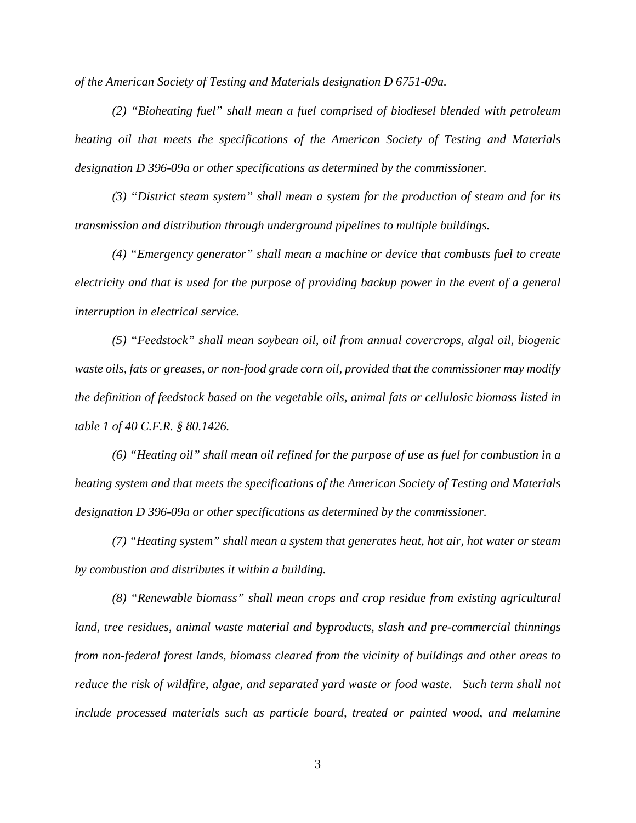*of the American Society of Testing and Materials designation D 6751-09a.*

*(2) "Bioheating fuel" shall mean a fuel comprised of biodiesel blended with petroleum heating oil that meets the specifications of the American Society of Testing and Materials designation D 396-09a or other specifications as determined by the commissioner.*

*(3) "District steam system" shall mean a system for the production of steam and for its transmission and distribution through underground pipelines to multiple buildings.*

*(4) "Emergency generator" shall mean a machine or device that combusts fuel to create electricity and that is used for the purpose of providing backup power in the event of a general interruption in electrical service.*

*(5) "Feedstock" shall mean soybean oil, oil from annual covercrops, algal oil, biogenic waste oils, fats or greases, or non-food grade corn oil, provided that the commissioner may modify the definition of feedstock based on the vegetable oils, animal fats or cellulosic biomass listed in table 1 of 40 C.F.R. § 80.1426.*

*(6) "Heating oil" shall mean oil refined for the purpose of use as fuel for combustion in a heating system and that meets the specifications of the American Society of Testing and Materials designation D 396-09a or other specifications as determined by the commissioner.*

*(7) "Heating system" shall mean a system that generates heat, hot air, hot water or steam by combustion and distributes it within a building.*

*(8) "Renewable biomass" shall mean crops and crop residue from existing agricultural land, tree residues, animal waste material and byproducts, slash and pre-commercial thinnings from non-federal forest lands, biomass cleared from the vicinity of buildings and other areas to reduce the risk of wildfire, algae, and separated yard waste or food waste. Such term shall not include processed materials such as particle board, treated or painted wood, and melamine*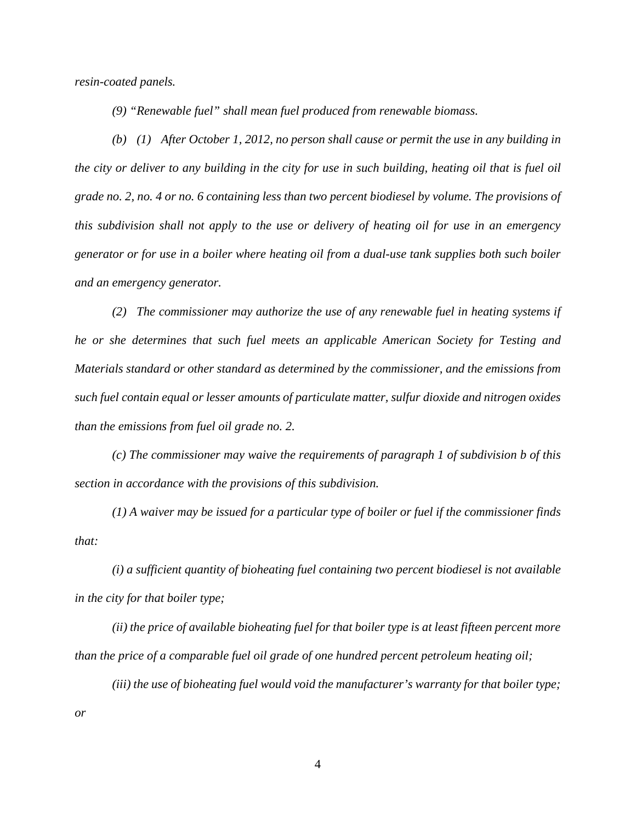*resin-coated panels.*

*(9) "Renewable fuel" shall mean fuel produced from renewable biomass.*

*(b) (1) After October 1, 2012, no person shall cause or permit the use in any building in the city or deliver to any building in the city for use in such building, heating oil that is fuel oil grade no. 2, no. 4 or no. 6 containing less than two percent biodiesel by volume. The provisions of this subdivision shall not apply to the use or delivery of heating oil for use in an emergency generator or for use in a boiler where heating oil from a dual-use tank supplies both such boiler and an emergency generator.*

*(2) The commissioner may authorize the use of any renewable fuel in heating systems if he or she determines that such fuel meets an applicable American Society for Testing and Materials standard or other standard as determined by the commissioner, and the emissions from such fuel contain equal or lesser amounts of particulate matter, sulfur dioxide and nitrogen oxides than the emissions from fuel oil grade no. 2.*

*(c) The commissioner may waive the requirements of paragraph 1 of subdivision b of this section in accordance with the provisions of this subdivision.*

*(1) A waiver may be issued for a particular type of boiler or fuel if the commissioner finds that:*

*(i) a sufficient quantity of bioheating fuel containing two percent biodiesel is not available in the city for that boiler type;*

*(ii) the price of available bioheating fuel for that boiler type is at least fifteen percent more than the price of a comparable fuel oil grade of one hundred percent petroleum heating oil;*

*(iii) the use of bioheating fuel would void the manufacturer's warranty for that boiler type; or*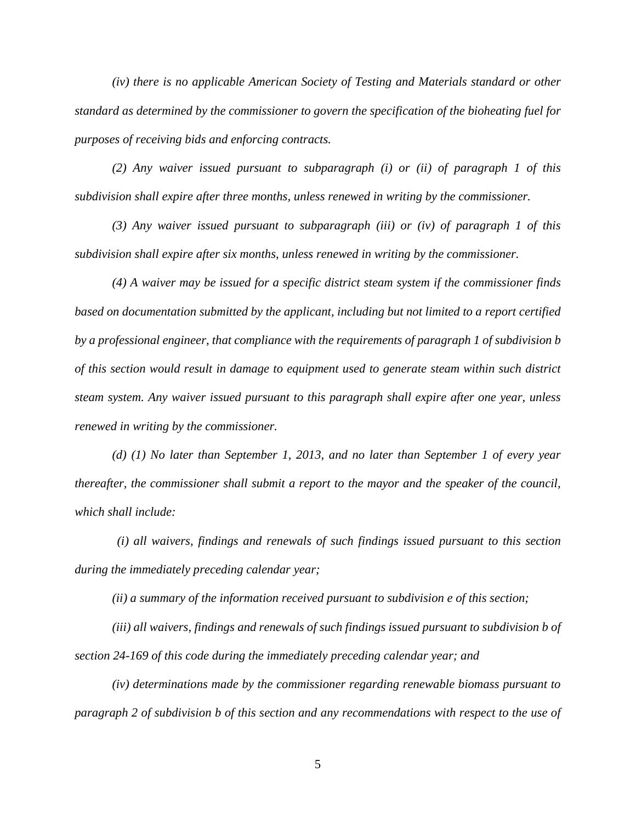*(iv) there is no applicable American Society of Testing and Materials standard or other standard as determined by the commissioner to govern the specification of the bioheating fuel for purposes of receiving bids and enforcing contracts.*

*(2) Any waiver issued pursuant to subparagraph (i) or (ii) of paragraph 1 of this subdivision shall expire after three months, unless renewed in writing by the commissioner.*

*(3) Any waiver issued pursuant to subparagraph (iii) or (iv) of paragraph 1 of this subdivision shall expire after six months, unless renewed in writing by the commissioner.*

*(4) A waiver may be issued for a specific district steam system if the commissioner finds based on documentation submitted by the applicant, including but not limited to a report certified by a professional engineer, that compliance with the requirements of paragraph 1 of subdivision b of this section would result in damage to equipment used to generate steam within such district steam system. Any waiver issued pursuant to this paragraph shall expire after one year, unless renewed in writing by the commissioner.*

*(d) (1) No later than September 1, 2013, and no later than September 1 of every year thereafter, the commissioner shall submit a report to the mayor and the speaker of the council, which shall include:*

*(i) all waivers, findings and renewals of such findings issued pursuant to this section during the immediately preceding calendar year;*

*(ii) a summary of the information received pursuant to subdivision e of this section;*

*(iii) all waivers, findings and renewals of such findings issued pursuant to subdivision b of section 24-169 of this code during the immediately preceding calendar year; and*

*(iv) determinations made by the commissioner regarding renewable biomass pursuant to paragraph 2 of subdivision b of this section and any recommendations with respect to the use of*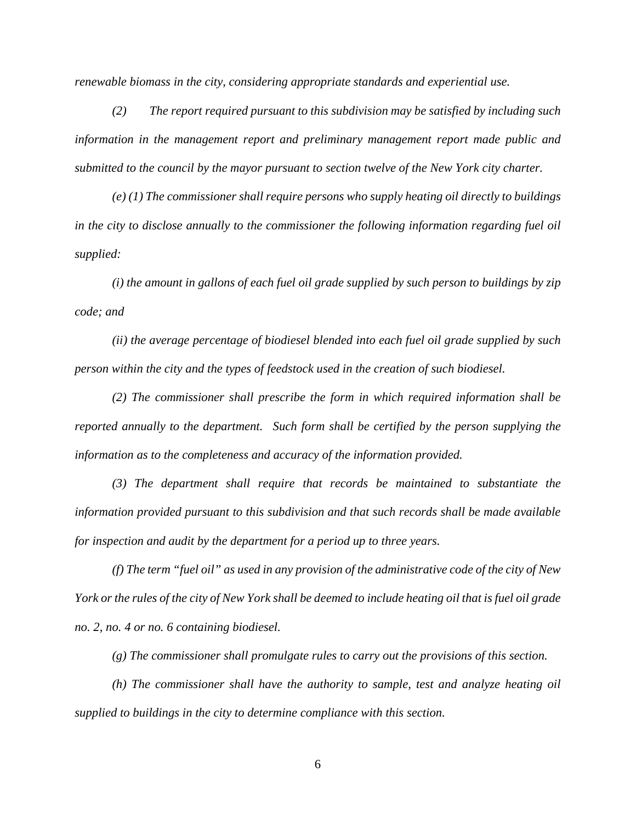*renewable biomass in the city, considering appropriate standards and experiential use.*

*(2) The report required pursuant to this subdivision may be satisfied by including such information in the management report and preliminary management report made public and submitted to the council by the mayor pursuant to section twelve of the New York city charter.*

*(e) (1) The commissioner shall require persons who supply heating oil directly to buildings in the city to disclose annually to the commissioner the following information regarding fuel oil supplied:*

*(i) the amount in gallons of each fuel oil grade supplied by such person to buildings by zip code; and*

*(ii) the average percentage of biodiesel blended into each fuel oil grade supplied by such person within the city and the types of feedstock used in the creation of such biodiesel.*

*(2) The commissioner shall prescribe the form in which required information shall be reported annually to the department. Such form shall be certified by the person supplying the information as to the completeness and accuracy of the information provided.*

*(3) The department shall require that records be maintained to substantiate the information provided pursuant to this subdivision and that such records shall be made available for inspection and audit by the department for a period up to three years.*

*(f) The term "fuel oil" as used in any provision of the administrative code of the city of New York or the rules of the city of New York shall be deemed to include heating oil that is fuel oil grade no. 2, no. 4 or no. 6 containing biodiesel.*

*(g) The commissioner shall promulgate rules to carry out the provisions of this section.*

*(h) The commissioner shall have the authority to sample, test and analyze heating oil supplied to buildings in the city to determine compliance with this section.*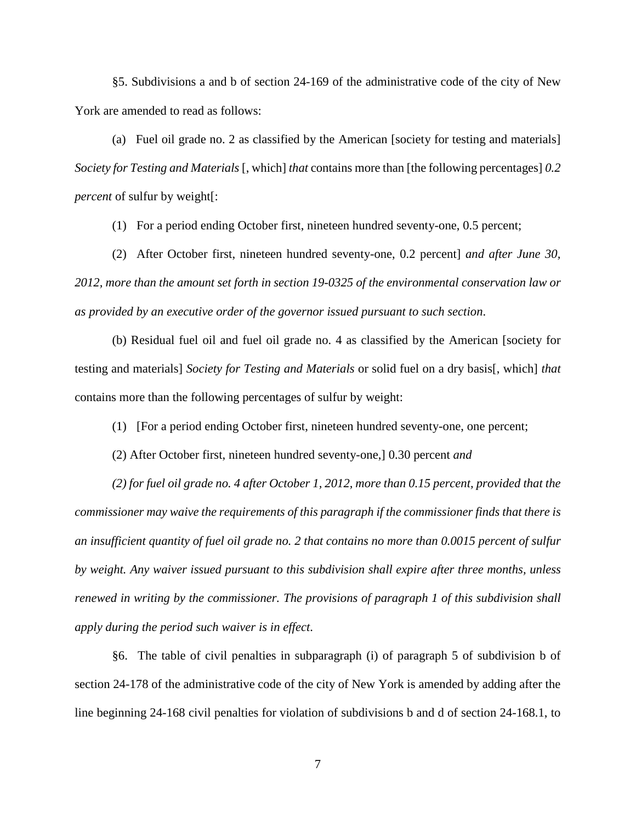§5. Subdivisions a and b of section 24-169 of the administrative code of the city of New York are amended to read as follows:

(a) Fuel oil grade no. 2 as classified by the American [society for testing and materials] *Society for Testing and Materials* [, which] *that* contains more than [the following percentages] *0.2 percent* of sulfur by weight[:

(1) For a period ending October first, nineteen hundred seventy-one, 0.5 percent;

(2) After October first, nineteen hundred seventy-one, 0.2 percent] *and after June 30, 2012, more than the amount set forth in section 19-0325 of the environmental conservation law or as provided by an executive order of the governor issued pursuant to such section*.

(b) Residual fuel oil and fuel oil grade no. 4 as classified by the American [society for testing and materials] *Society for Testing and Materials* or solid fuel on a dry basis[, which] *that* contains more than the following percentages of sulfur by weight:

(1) [For a period ending October first, nineteen hundred seventy-one, one percent;

(2) After October first, nineteen hundred seventy-one,] 0.30 percent *and*

*(2) for fuel oil grade no. 4 after October 1, 2012, more than 0.15 percent, provided that the commissioner may waive the requirements of this paragraph if the commissioner finds that there is an insufficient quantity of fuel oil grade no. 2 that contains no more than 0.0015 percent of sulfur by weight. Any waiver issued pursuant to this subdivision shall expire after three months, unless renewed in writing by the commissioner. The provisions of paragraph 1 of this subdivision shall apply during the period such waiver is in effect*.

§6. The table of civil penalties in subparagraph (i) of paragraph 5 of subdivision b of section 24-178 of the administrative code of the city of New York is amended by adding after the line beginning 24-168 civil penalties for violation of subdivisions b and d of section 24-168.1, to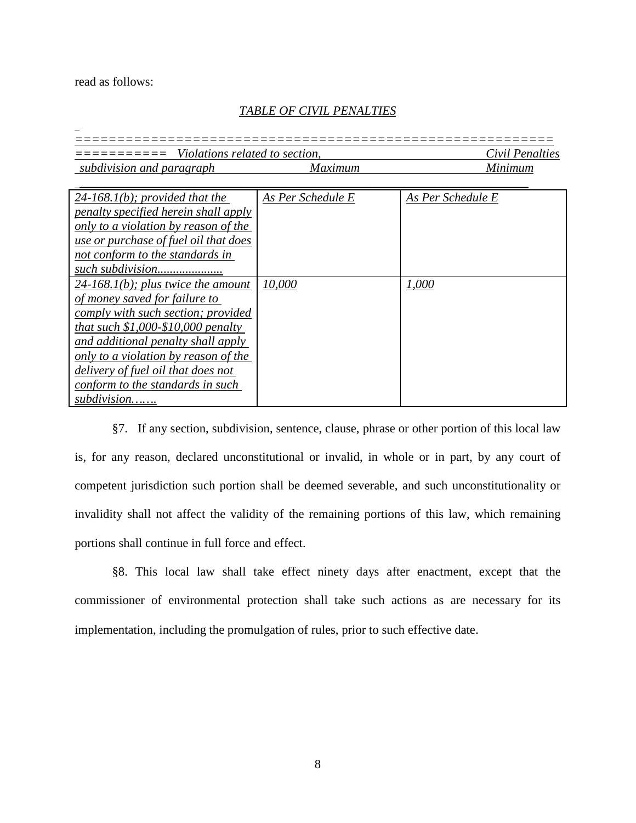read as follows:

# *TABLE OF CIVIL PENALTIES*

| Violations related to section, |                | Civil Penalties |
|--------------------------------|----------------|-----------------|
| subdivision and paragraph      | <i>Maximum</i> | Minimum         |

| $24-168.1(b)$ ; provided that the     | As Per Schedule E | As Per Schedule E |
|---------------------------------------|-------------------|-------------------|
| penalty specified herein shall apply  |                   |                   |
| only to a violation by reason of the  |                   |                   |
| use or purchase of fuel oil that does |                   |                   |
| not conform to the standards in       |                   |                   |
| such subdivision                      |                   |                   |
| $24-168.1(b)$ ; plus twice the amount | 10,000            | 1,000             |
| of money saved for failure to         |                   |                   |
| comply with such section; provided    |                   |                   |
| that such $$1,000-S10,000$ penalty    |                   |                   |
| and additional penalty shall apply    |                   |                   |
| only to a violation by reason of the  |                   |                   |
| delivery of fuel oil that does not    |                   |                   |
| conform to the standards in such      |                   |                   |
| subdivision                           |                   |                   |

§7. If any section, subdivision, sentence, clause, phrase or other portion of this local law is, for any reason, declared unconstitutional or invalid, in whole or in part, by any court of competent jurisdiction such portion shall be deemed severable, and such unconstitutionality or invalidity shall not affect the validity of the remaining portions of this law, which remaining portions shall continue in full force and effect.

§8. This local law shall take effect ninety days after enactment, except that the commissioner of environmental protection shall take such actions as are necessary for its implementation, including the promulgation of rules, prior to such effective date.